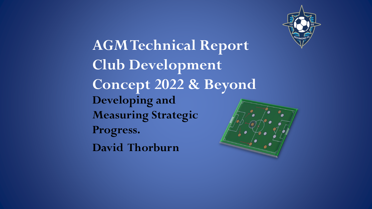

**AGM Technical Report Club Development Concept 2022 & Beyond Developing and Measuring Strategic Progress. David Thorburn**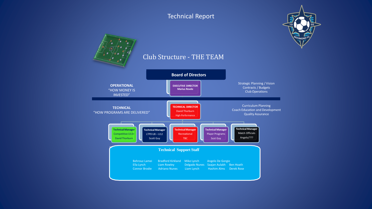

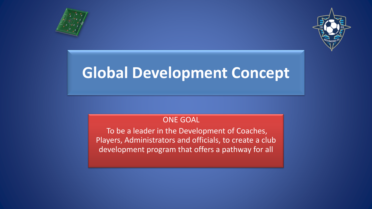



## **Global Development Concept**

## ONE GOAL

To be a leader in the Development of Coaches, Players, Administrators and officials, to create a club development program that offers a pathway for all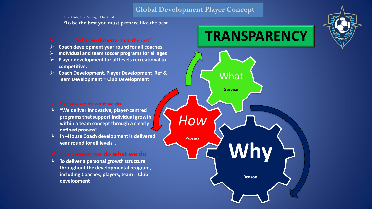### **Global Development Player Concept**

One Club, One Message, One Goal

**'To be the best you must prepare like the best**"

#### ➢ **"What we do better than the rest"**

- ➢ **Coach development year round for all coaches**
- ➢ **Individual and team soccer programs for all ages**
- ➢ **Player development for all levels recreational to competitive.**
- ➢ **Coach Development, Player Development, Ref & Team Development = Club Development**

#### ✓ **The way we do what we do**

- ➢ **"We deliver innovative, player-centred programs that support individual growth within a team concept through a clearly defined process"**
- ➢ **In –House Coach development is delivered year round for all levels .**

### ✓ **The reason we do what we do**

➢ **To deliver a personal growth structure throughout the developmental program, including Coaches, players, team = Club development**

## **TRANSPARENCY**



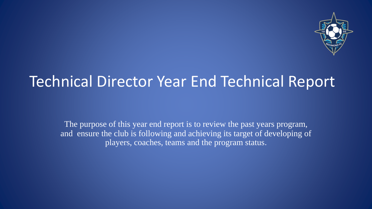

## Technical Director Year End Technical Report

The purpose of this year end report is to review the past years program, and ensure the club is following and achieving its target of developing of players, coaches, teams and the program status.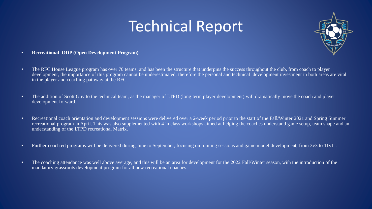

- **Recreational ODP (Open Development Program)**
- The RFC House League program has over 70 teams, and has been the structure that underpins the success throughout the club, from coach to player development, the importance of this program cannot be underestimated, therefore the personal and technical development investment in both areas are vital in the player and coaching pathway at the RFC.
- The addition of Scott Guy to the technical team, as the manager of LTPD (long term player development) will dramatically move the coach and player development forward.
- Recreational coach orientation and development sessions were delivered over a 2-week period prior to the start of the Fall/Winter 2021 and Spring Summer recreational program in April. This was also supplemented with 4 in class workshops aimed at helping the coaches understand game setup, team shape and an understanding of the LTPD recreational Matrix.
- Further coach ed programs will be delivered during June to September, focusing on training sessions and game model development, from 3v3 to 11v11.
- The coaching attendance was well above average, and this will be an area for development for the 2022 Fall/Winter season, with the introduction of the mandatory grassroots development program for all new recreational coaches.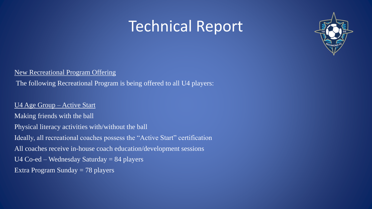

New Recreational Program Offering

The following Recreational Program is being offered to all U4 players:

U4 Age Group – Active Start Making friends with the ball Physical literacy activities with/without the ball Ideally, all recreational coaches possess the "Active Start" certification

All coaches receive in-house coach education/development sessions

U4  $Co$ -ed – Wednesday Saturday = 84 players

Extra Program Sunday = 78 players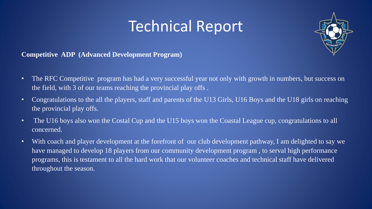

### **Competitive ADP (Advanced Development Program)**

- The RFC Competitive program has had a very successful year not only with growth in numbers, but success on the field, with 3 of our teams reaching the provincial play offs .
- Congratulations to the all the players, staff and parents of the U13 Girls, U16 Boys and the U18 girls on reaching the provincial play offs.
- The U16 boys also won the Costal Cup and the U15 boys won the Coastal League cup, congratulations to all concerned.
- With coach and player development at the forefront of our club development pathway, I am delighted to say we have managed to develop 18 players from our community development program , to serval high performance programs, this is testament to all the hard work that our volunteer coaches and technical staff have delivered throughout the season.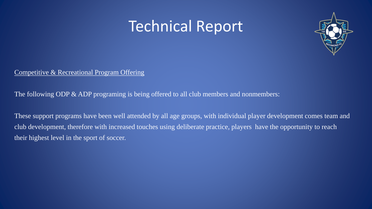

## Competitive & Recreational Program Offering

The following ODP & ADP programing is being offered to all club members and nonmembers:

These support programs have been well attended by all age groups, with individual player development comes team and club development, therefore with increased touches using deliberate practice, players have the opportunity to reach their highest level in the sport of soccer.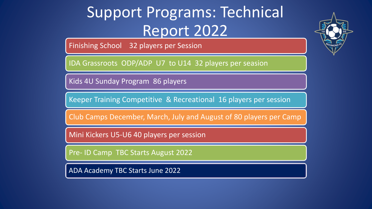# Support Programs: Technical Report 2022

Finishing School 32 players per Session

IDA Grassroots ODP/ADP U7 to U14 32 players per seasion

Kids 4U Sunday Program 86 players

Keeper Training Competitive & Recreational 16 players per session

Club Camps December, March, July and August of 80 players per Camp

Mini Kickers U5-U6 40 players per session

Pre- ID Camp TBC Starts August 2022

ADA Academy TBC Starts June 2022

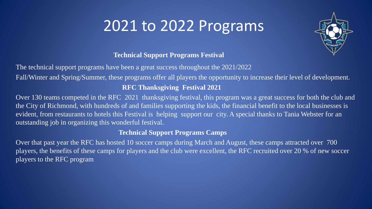# 2021 to 2022 Programs



## **Technical Support Programs Festival**

The technical support programs have been a great success throughout the 2021/2022

Fall/Winter and Spring/Summer, these programs offer all players the opportunity to increase their level of development.

## **RFC Thanksgiving Festival 2021**

Over 130 teams competed in the RFC 2021 thanksgiving festival, this program was a great success for both the club and the City of Richmond, with hundreds of and families supporting the kids, the financial benefit to the local businesses is evident, from restaurants to hotels this Festival is helping support our city. A special thanks to Tania Webster for an outstanding job in organizing this wonderful festival.

## **Technical Support Programs Camps**

Over that past year the RFC has hosted 10 soccer camps during March and August, these camps attracted over 700 players, the benefits of these camps for players and the club were excellent, the RFC recruited over 20 % of new soccer players to the RFC program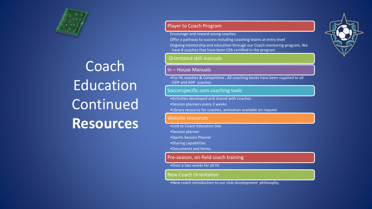

# Coach Education Continued **Resources**

#### Player to Coach Program

Encourage and reward young coaches

Offer a pathway to success including coaching teams at entry level

Ongoing mentorship and education through our Coach mentoring program, We have 8 coaches that have been CSA certified in the program

#### Orientated skill manuals

#### In – House Manuals

•For HL coaches & Competitive , All coaching books have been supplied to all ODP and ADP coaches

#### Soccerspecific.com coaching tools

- •Activities developed and shared with coaches
- •Session planners every 2 weeks
- •Library resource for coaches, animation available on request

#### Website resources

- •Link to Coach Education Site
- •Session planner
- •Sports Session Planner
- •Sharing capabilities
- •Documents and forms.

#### Pre-season, on-field coach training

#### •Over a two weeks for all HL

#### New Coach Orientation

•New coach introduction to our club development philosophy.

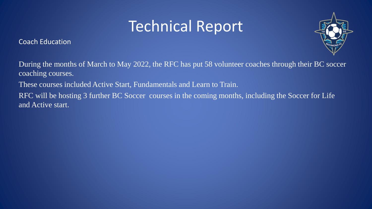Coach Education



During the months of March to May 2022, the RFC has put 58 volunteer coaches through their BC soccer coaching courses.

These courses included Active Start, Fundamentals and Learn to Train.

RFC will be hosting 3 further BC Soccer courses in the coming months, including the Soccer for Life and Active start.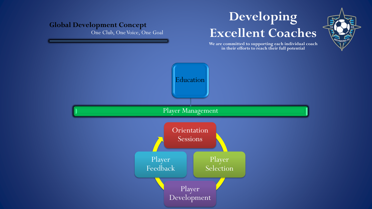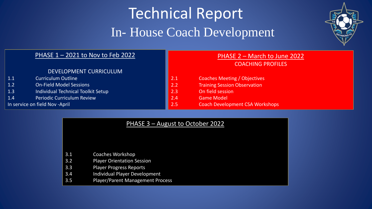# Technical Report In- House Coach Development



#### PHASE 1 – 2021 to Nov to Feb 2022

#### DEVELOPMENT CURRICULUM

| 1.1                             | <b>Curriculum Outline</b>          |
|---------------------------------|------------------------------------|
| 1.2                             | <b>On-Field Model Sessions</b>     |
| 1.3                             | Individual Technical Toolkit Setup |
| 1.4                             | <b>Periodic Curriculum Review</b>  |
| In service on field Nov - April |                                    |

## PHASE 2 – March to June 2022

COACHING PROFILES

- 2.1 Coaches Meeting / Objectives
- 2.2 Training Session Observation
- 2.3 On field session
- 2.4 Game Model
- 2.5 Coach Development CSA Workshops

### PHASE 3 – August to October 2022

- 3.1 Coaches Workshop
- 3.2 Player Orientation Session
- 3.3 Player Progress Reports
- 3.4 Individual Player Development
- 3.5 Player/Parent Management Process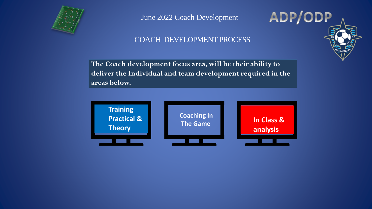

June 2022 Coach Development

COACH DEVELOPMENT PROCESS

ADP/ODP

**The Coach development focus area, will be their ability to deliver the Individual and team development required in the areas below.**